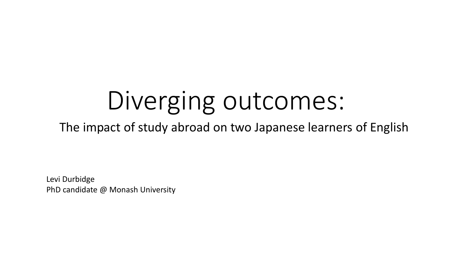# Diverging outcomes:

The impact of study abroad on two Japanese learners of English

Levi Durbidge PhD candidate @ Monash University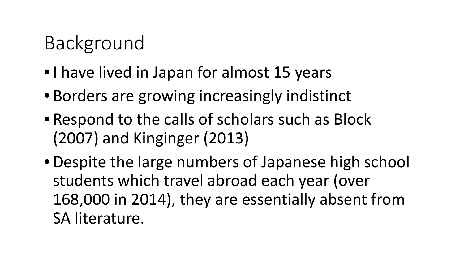# Background

- •I have lived in Japan for almost 15 years
- Borders are growing increasingly indistinct
- Respond to the calls of scholars such as Block (2007) and Kinginger (2013)
- •Despite the large numbers of Japanese high school students which travel abroad each year (over 168,000 in 2014), they are essentially absent from SA literature.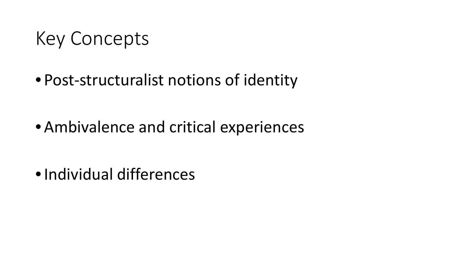### Key Concepts

• Post-structuralist notions of identity

• Ambivalence and critical experiences

•Individual differences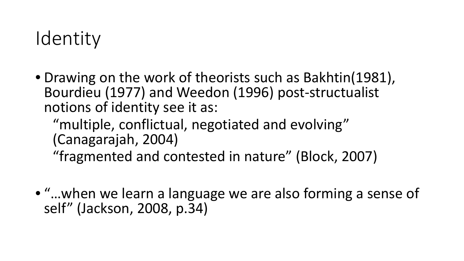### Identity

• Drawing on the work of theorists such as Bakhtin(1981), Bourdieu (1977) and Weedon (1996) post-structualist notions of identity see it as:

"multiple, conflictual, negotiated and evolving" (Canagarajah, 2004) "fragmented and contested in nature" (Block, 2007)

• "…when we learn a language we are also forming a sense of self" (Jackson, 2008, p.34)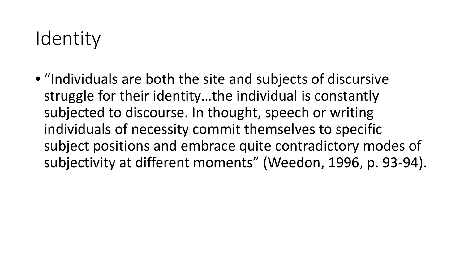### Identity

• "Individuals are both the site and subjects of discursive struggle for their identity…the individual is constantly subjected to discourse. In thought, speech or writing individuals of necessity commit themselves to specific subject positions and embrace quite contradictory modes of subjectivity at different moments" (Weedon, 1996, p. 93-94).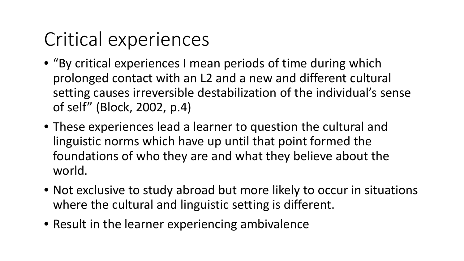# Critical experiences

- "By critical experiences I mean periods of time during which prolonged contact with an L2 and a new and different cultural setting causes irreversible destabilization of the individual's sense of self" (Block, 2002, p.4)
- These experiences lead a learner to question the cultural and linguistic norms which have up until that point formed the foundations of who they are and what they believe about the world.
- Not exclusive to study abroad but more likely to occur in situations where the cultural and linguistic setting is different.
- Result in the learner experiencing ambivalence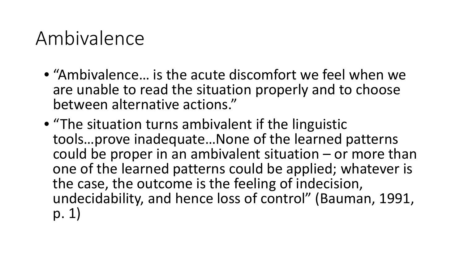### Ambivalence

- "Ambivalence… is the acute discomfort we feel when we are unable to read the situation properly and to choose between alternative actions."
- "The situation turns ambivalent if the linguistic tools…prove inadequate…None of the learned patterns could be proper in an ambivalent situation – or more than one of the learned patterns could be applied; whatever is the case, the outcome is the feeling of indecision, undecidability, and hence loss of control" (Bauman, 1991, p. 1)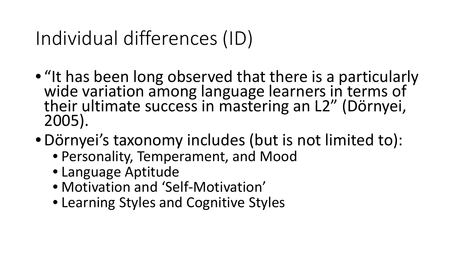### Individual differences (ID)

- "It has been long observed that there is a particularly wide variation among language learners in terms of their ultimate success in mastering an L2" (Dörnyei, 2005).
- •Dörnyei's taxonomy includes (but is not limited to):
	- Personality, Temperament, and Mood
	- Language Aptitude
	- Motivation and 'Self-Motivation'
	- Learning Styles and Cognitive Styles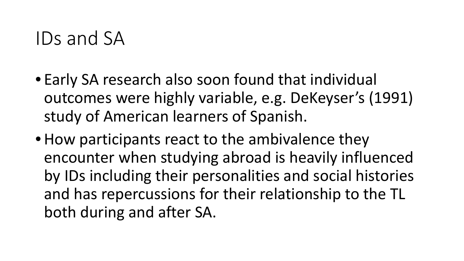### IDs and SA

- Early SA research also soon found that individual outcomes were highly variable, e.g. DeKeyser's (1991) study of American learners of Spanish.
- How participants react to the ambivalence they encounter when studying abroad is heavily influenced by IDs including their personalities and social histories and has repercussions for their relationship to the TL both during and after SA.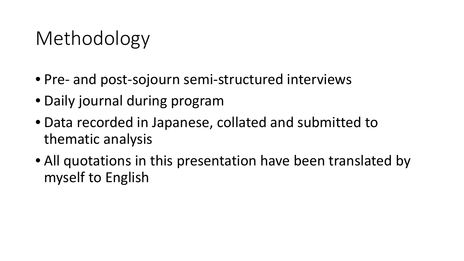### Methodology

- Pre- and post-sojourn semi-structured interviews
- Daily journal during program
- Data recorded in Japanese, collated and submitted to thematic analysis
- All quotations in this presentation have been translated by myself to English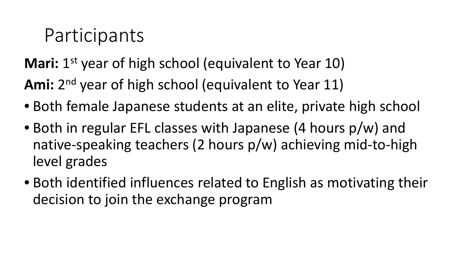### Participants

**Mari:** 1<sup>st</sup> year of high school (equivalent to Year 10)

Ami: 2<sup>nd</sup> year of high school (equivalent to Year 11)

- Both female Japanese students at an elite, private high school
- Both in regular EFL classes with Japanese (4 hours p/w) and native-speaking teachers (2 hours p/w) achieving mid-to-high level grades
- Both identified influences related to English as motivating their decision to join the exchange program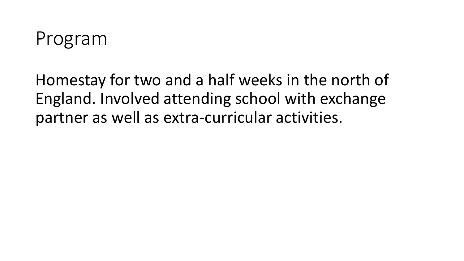

Homestay for two and a half weeks in the north of England. Involved attending school with exchange partner as well as extra-curricular activities.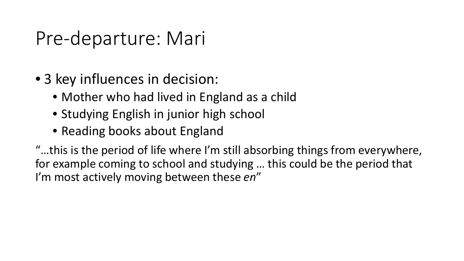### Pre-departure: Mari

- 3 key influences in decision:
	- Mother who had lived in England as a child
	- Studying English in junior high school
	- Reading books about England

"…this is the period of life where I'm still absorbing things from everywhere, for example coming to school and studying … this could be the period that I'm most actively moving between these *en*"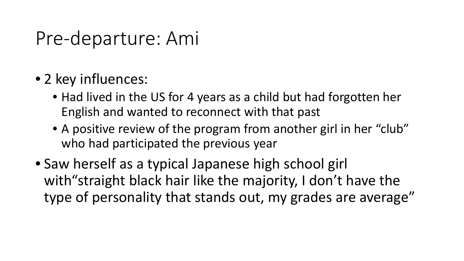### Pre-departure: Ami

- 2 key influences:
	- Had lived in the US for 4 years as a child but had forgotten her English and wanted to reconnect with that past
	- A positive review of the program from another girl in her "club" who had participated the previous year
- Saw herself as a typical Japanese high school girl with "straight black hair like the majority, I don't have the type of personality that stands out, my grades are average"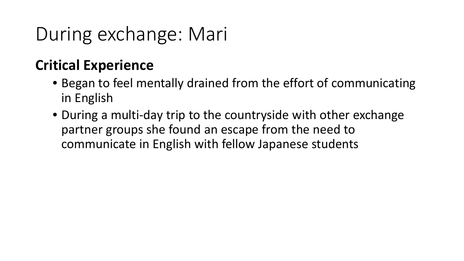# During exchange: Mari

### **Critical Experience**

- Began to feel mentally drained from the effort of communicating in English
- During a multi-day trip to the countryside with other exchange partner groups she found an escape from the need to communicate in English with fellow Japanese students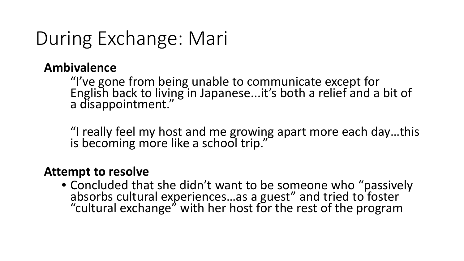### During Exchange: Mari

#### **Ambivalence**

"I've gone from being unable to communicate except for English back to living in Japanese...it's both a relief and a bit of a disappointment."

"I really feel my host and me growing apart more each day…this is becoming more like a school trip."

#### **Attempt to resolve**

• Concluded that she didn't want to be someone who "passively absorbs cultural experiences…as a guest" and tried to foster "cultural exchange" with her host for the rest of the program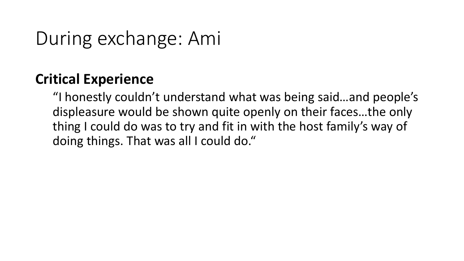### During exchange: Ami

### **Critical Experience**

"I honestly couldn't understand what was being said…and people's displeasure would be shown quite openly on their faces…the only thing I could do was to try and fit in with the host family's way of doing things. That was all I could do."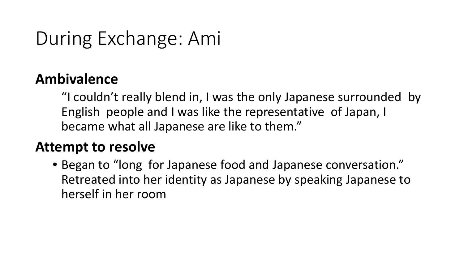### During Exchange: Ami

### **Ambivalence**

"I couldn't really blend in, I was the only Japanese surrounded by English people and I was like the representative of Japan, I became what all Japanese are like to them."

#### **Attempt to resolve**

• Began to "long for Japanese food and Japanese conversation." Retreated into her identity as Japanese by speaking Japanese to herself in her room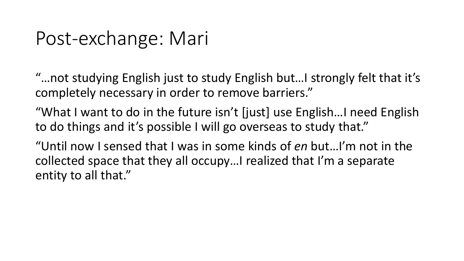### Post-exchange: Mari

"…not studying English just to study English but…I strongly felt that it's completely necessary in order to remove barriers."

"What I want to do in the future isn't [just] use English…I need English to do things and it's possible I will go overseas to study that."

"Until now I sensed that I was in some kinds of *en* but…I'm not in the collected space that they all occupy…I realized that I'm a separate entity to all that."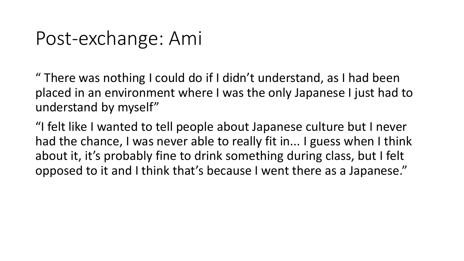### Post-exchange: Ami

" There was nothing I could do if I didn't understand, as I had been placed in an environment where I was the only Japanese I just had to understand by myself"

"I felt like I wanted to tell people about Japanese culture but I never had the chance, I was never able to really fit in... I guess when I think about it, it's probably fine to drink something during class, but I felt opposed to it and I think that's because I went there as a Japanese."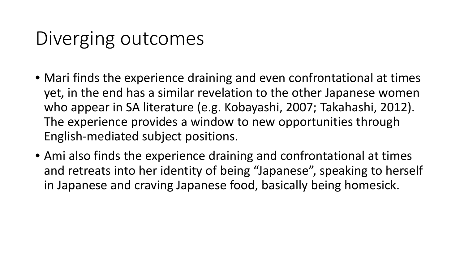### Diverging outcomes

- Mari finds the experience draining and even confrontational at times yet, in the end has a similar revelation to the other Japanese women who appear in SA literature (e.g. Kobayashi, 2007; Takahashi, 2012). The experience provides a window to new opportunities through English-mediated subject positions.
- Ami also finds the experience draining and confrontational at times and retreats into her identity of being "Japanese", speaking to herself in Japanese and craving Japanese food, basically being homesick.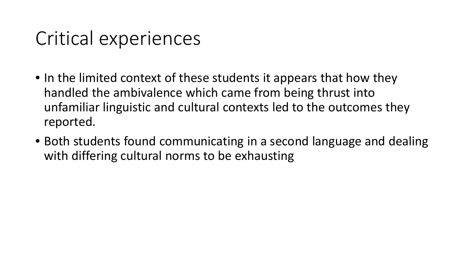### Critical experiences

- In the limited context of these students it appears that how they handled the ambivalence which came from being thrust into unfamiliar linguistic and cultural contexts led to the outcomes they reported.
- Both students found communicating in a second language and dealing with differing cultural norms to be exhausting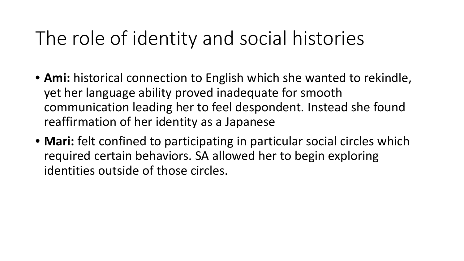### The role of identity and social histories

- **Ami:** historical connection to English which she wanted to rekindle, yet her language ability proved inadequate for smooth communication leading her to feel despondent. Instead she found reaffirmation of her identity as a Japanese
- **Mari:** felt confined to participating in particular social circles which required certain behaviors. SA allowed her to begin exploring identities outside of those circles.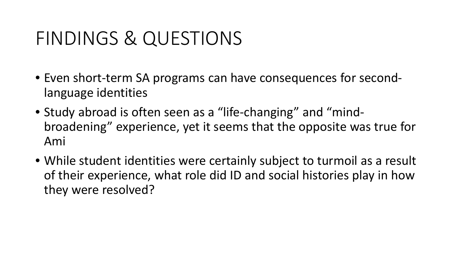### FINDINGS & QUESTIONS

- Even short-term SA programs can have consequences for secondlanguage identities
- Study abroad is often seen as a "life-changing" and "mindbroadening" experience, yet it seems that the opposite was true for Ami
- While student identities were certainly subject to turmoil as a result of their experience, what role did ID and social histories play in how they were resolved?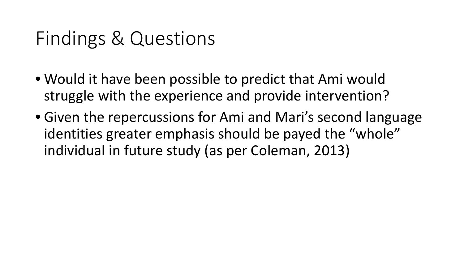### Findings & Questions

- Would it have been possible to predict that Ami would struggle with the experience and provide intervention?
- Given the repercussions for Ami and Mari's second language identities greater emphasis should be payed the "whole" individual in future study (as per Coleman, 2013)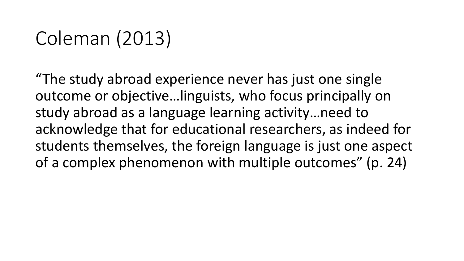### Coleman (2013)

"The study abroad experience never has just one single outcome or objective…linguists, who focus principally on study abroad as a language learning activity…need to acknowledge that for educational researchers, as indeed for students themselves, the foreign language is just one aspect of a complex phenomenon with multiple outcomes" (p. 24)